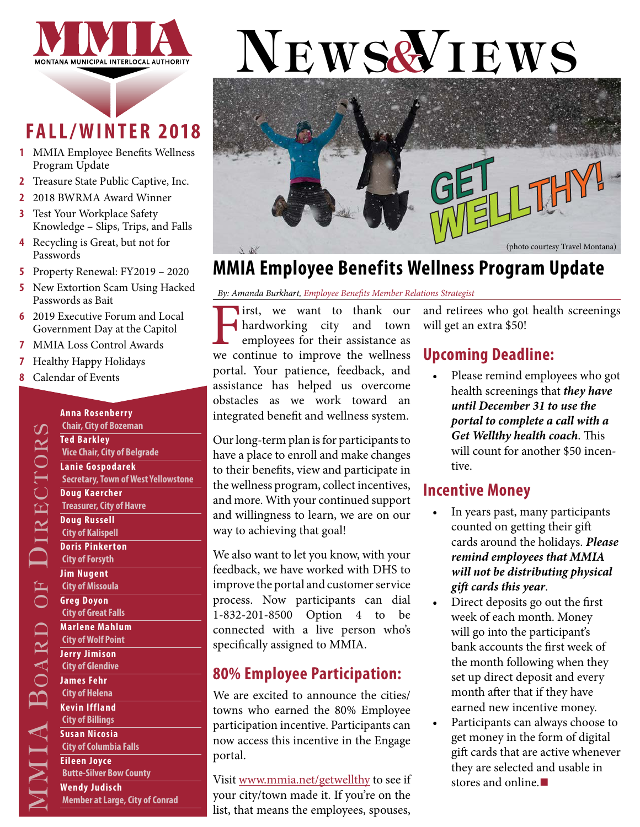

# **FALL/WINTER 2018**

- **1** MMIA Employee Benefits Wellness Program Update
- **2** [Treasure State Public Captive, Inc.](#page-1-0)
- **2** [2018 BWRMA Award](#page-1-0) Winner
- **3** [Test Your Workplace Safety](#page-2-0)  [Knowledge – Slips, Trips, and Falls](#page-2-0)
- **4** [Recycling is Great, but not for](#page-3-0)  [Passwords](#page-3-0)
- **5** [Property Renewal: FY2019 2020](#page-4-0)
- **5** [New Extortion Scam Using Hacked](#page-4-0)  [Passwords as Bait](#page-4-0)
- **6** [2019 Executive Forum](#page-5-0) and [Local](#page-5-0)  [Government Day at the Capitol](#page-5-0)
- **7** [MMIA Loss Control Awards](#page-6-0)
- **7** [Healthy Happy Holidays](#page-6-0)
- **8** [Calendar of Events](#page-7-0)

o

ARD OF

 $\Box$ 

**DH** 

ir ec t ors

#### City of Helena<br>
Kevin Iffland<br>
City of Billings<br>
Susan Nicosia<br>
City of Columbia Falls<br>
Eileen Joyce<br>
Butte-Silver Bow County<br>
Wendy Judisch<br>
<u>Member at Large, City of Q</u> **Anna Rosenberry Chair, City of Bozeman Ted Barkley Vice Chair, City of Belgrade Lanie Gospodarek Secretary, Town of West Yellowstone Doug Kaercher Treasurer, City of Havre Doug Russell City of Kalispell Doris Pinkerton City of Forsyth Jim Nugent City of Missoula Greg Doyon City of Great Falls Marlene Mahlum City of Wolf Point Jerry Jimison City of Glendive James Fehr City of Helena Kevin Iffland City of Billings Susan Nicosia City of Columbia Falls Eileen Joyce Butte-Silver Bow County Wendy Judisch Member at Large, City of Conrad**

# NEWS& IEWS



### **MMIA Employee Benefits Wellness Program Update**

*By: Amanda Burkhart, Employee Benefits Member Relations Strategist*

**First, we want to thank our hardworking city and town employees for their assistance as we continue to improve the wellness** hardworking city and town employees for their assistance as we continue to improve the wellness portal. Your patience, feedback, and assistance has helped us overcome obstacles as we work toward an integrated benefit and wellness system.

Our long-term plan is for participants to have a place to enroll and make changes to their benefits, view and participate in the wellness program, collect incentives, and more. With your continued support and willingness to learn, we are on our way to achieving that goal!

We also want to let you know, with your feedback, we have worked with DHS to improve the portal and customer service process. Now participants can dial 1-832-201-8500 Option 4 to be connected with a live person who's specifically assigned to MMIA.

### **80% Employee Participation:**

We are excited to announce the cities/ towns who earned the 80% Employee participation incentive. Participants can now access this incentive in the Engage portal.

Visit [www.mmia.net/getwellthy](http://www.mmia.net/getwellthy) to see if your city/town made it. If you're on the list, that means the employees, spouses,

and retirees who got health screenings will get an extra \$50!

### **Upcoming Deadline:**

• Please remind employees who got health screenings that *they have until December 31 to use the portal to complete a call with a Get Wellthy health coach*. This will count for another \$50 incentive.

#### **Incentive Money**

- In years past, many participants counted on getting their gift cards around the holidays. *Please remind employees that MMIA will not be distributing physical gift cards this year*.
- Direct deposits go out the first week of each month. Money will go into the participant's bank accounts the first week of the month following when they set up direct deposit and every month after that if they have earned new incentive money.
- Participants can always choose to get money in the form of digital gift cards that are active whenever they are selected and usable in stores and online.**■**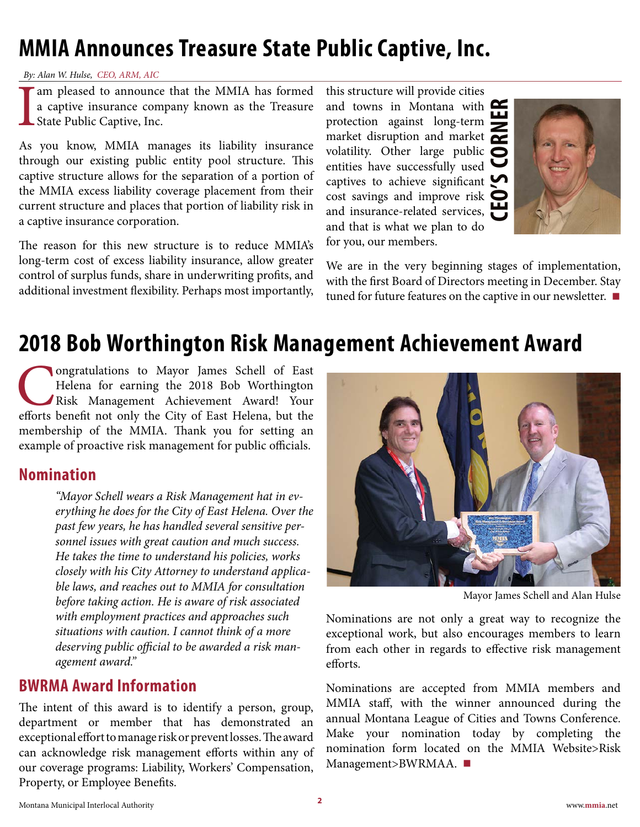# <span id="page-1-0"></span>**MMIA Announces Treasure State Public Captive, Inc.**

*By: Alan W. Hulse, CEO, ARM, AIC* 

I am pleased to announce that the MMIA has formed<br>a captive insurance company known as the Treasure<br>State Public Captive, Inc. a captive insurance company known as the Treasure State Public Captive, Inc.

As you know, MMIA manages its liability insurance through our existing public entity pool structure. This captive structure allows for the separation of a portion of the MMIA excess liability coverage placement from their current structure and places that portion of liability risk in a captive insurance corporation.

The reason for this new structure is to reduce MMIA's long-term cost of excess liability insurance, allow greater control of surplus funds, share in underwriting profits, and additional investment flexibility. Perhaps most importantly,

**CEO'S CORNER** this structure will provide cities and towns in Montana with  $\blacksquare$ protection against long-term market disruption and market  $\overline{\bullet}$ volatility. Other large public  $\overline{\bullet}$ entities have successfully used captives to achieve significant  $\blacktriangleright$ cost savings and improve risk and insurance-related services, and that is what we plan to do for you, our members.



We are in the very beginning stages of implementation, with the first Board of Directors meeting in December. Stay tuned for future features on the captive in our newsletter. **■**

### **2018 Bob Worthington Risk Management Achievement Award**

**Congratulations to Mayor James Schell of East**<br>Helena for earning the 2018 Bob Worthington<br>Risk Management Achievement Award! Your<br>efforts benefit not only the City of East Helena, but the Helena for earning the 2018 Bob Worthington Risk Management Achievement Award! Your efforts benefit not only the City of East Helena, but the membership of the MMIA. Thank you for setting an example of proactive risk management for public officials.

#### **Nomination**

*"Mayor Schell wears a Risk Management hat in everything he does for the City of East Helena. Over the past few years, he has handled several sensitive personnel issues with great caution and much success. He takes the time to understand his policies, works closely with his City Attorney to understand applicable laws, and reaches out to MMIA for consultation before taking action. He is aware of risk associated with employment practices and approaches such situations with caution. I cannot think of a more deserving public official to be awarded a risk management award."*

#### **BWRMA Award Information**

The intent of this award is to identify a person, group, department or member that has demonstrated an exceptional effort to manage risk or prevent losses. The award can acknowledge risk management efforts within any of our coverage programs: Liability, Workers' Compensation, Property, or Employee Benefits.



Mayor James Schell and Alan Hulse

Nominations are not only a great way to recognize the exceptional work, but also encourages members to learn from each other in regards to effective risk management efforts.

Nominations are accepted from MMIA members and MMIA staff, with the winner announced during the annual Montana League of Cities and Towns Conference. Make your nomination today by completing the nomination form located on the MMIA Website>Risk Management>BWRMAA. **■**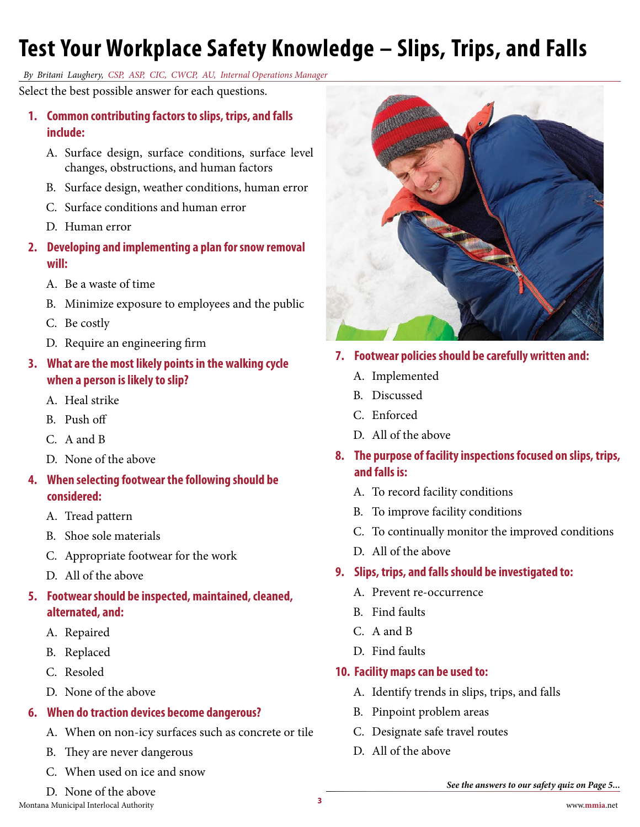# <span id="page-2-0"></span>**Test Your Workplace Safety Knowledge – Slips, Trips, and Falls**

*By Britani Laughery, CSP, ASP, CIC, CWCP, AU, Internal Operations Manager*

Select the best possible answer for each questions.

- **1. Common contributing factors to slips, trips, and falls include:**
	- A. Surface design, surface conditions, surface level changes, obstructions, and human factors
	- B. Surface design, weather conditions, human error
	- C. Surface conditions and human error
	- D. Human error
- **2. Developing and implementing a plan for snow removal will:**
	- A. Be a waste of time
	- B. Minimize exposure to employees and the public
	- C. Be costly
	- D. Require an engineering firm
- **3. What are the most likely points in the walking cycle when a person is likely to slip?**
	- A. Heal strike
	- B. Push off
	- C. A and B
	- D. None of the above
- **4. When selecting footwear the following should be considered:**
	- A. Tread pattern
	- B. Shoe sole materials
	- C. Appropriate footwear for the work
	- D. All of the above
- **5. Footwear should be inspected, maintained, cleaned, alternated, and:**
	- A. Repaired
	- B. Replaced
	- C. Resoled
	- D. None of the above

#### **6. When do traction devices become dangerous?**

- A. When on non-icy surfaces such as concrete or tile
- B. They are never dangerous
- C. When used on ice and snow
- D. None of the above



#### **10. Facility maps can be used to:**

- A. Identify trends in slips, trips, and falls
- B. Pinpoint problem areas
- C. Designate safe travel routes
- D. All of the above



- **7. Footwear policies should be carefully written and:**
	- A. Implemented
	- B. Discussed
	- C. Enforced
	- D. All of the above
- **8. The purpose of facility inspections focused on slips, trips, and falls is:**
	- A. To record facility conditions
	- B. To improve facility conditions
	- C. To continually monitor the improved conditions
	- D. All of the above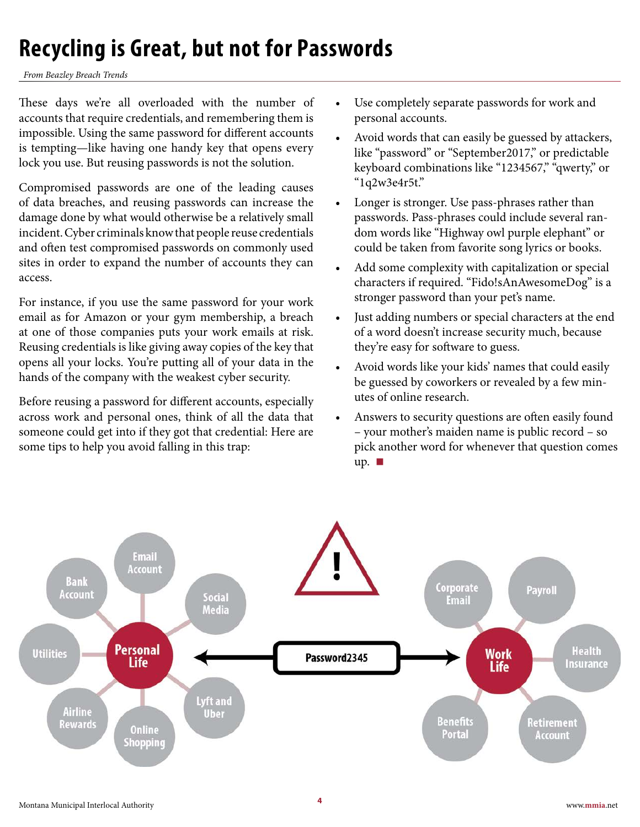# <span id="page-3-0"></span>**Recycling is Great, but not for Passwords**

*From Beazley Breach Trends*

These days we're all overloaded with the number of accounts that require credentials, and remembering them is impossible. Using the same password for different accounts is tempting—like having one handy key that opens every lock you use. But reusing passwords is not the solution.

Compromised passwords are one of the leading causes of data breaches, and reusing passwords can increase the damage done by what would otherwise be a relatively small incident. Cyber criminals know that people reuse credentials and often test compromised passwords on commonly used sites in order to expand the number of accounts they can access.

For instance, if you use the same password for your work email as for Amazon or your gym membership, a breach at one of those companies puts your work emails at risk. Reusing credentials is like giving away copies of the key that opens all your locks. You're putting all of your data in the hands of the company with the weakest cyber security.

Before reusing a password for different accounts, especially across work and personal ones, think of all the data that someone could get into if they got that credential: Here are some tips to help you avoid falling in this trap:

- Use completely separate passwords for work and personal accounts.
- Avoid words that can easily be guessed by attackers, like "password" or "September2017," or predictable keyboard combinations like "1234567," "qwerty," or "1q2w3e4r5t."
- Longer is stronger. Use pass-phrases rather than passwords. Pass-phrases could include several random words like "Highway owl purple elephant" or could be taken from favorite song lyrics or books.
- Add some complexity with capitalization or special characters if required. "Fido!sAnAwesomeDog" is a stronger password than your pet's name.
- Just adding numbers or special characters at the end of a word doesn't increase security much, because they're easy for software to guess.
- Avoid words like your kids' names that could easily be guessed by coworkers or revealed by a few minutes of online research.
- Answers to security questions are often easily found – your mother's maiden name is public record – so pick another word for whenever that question comes up. **■**

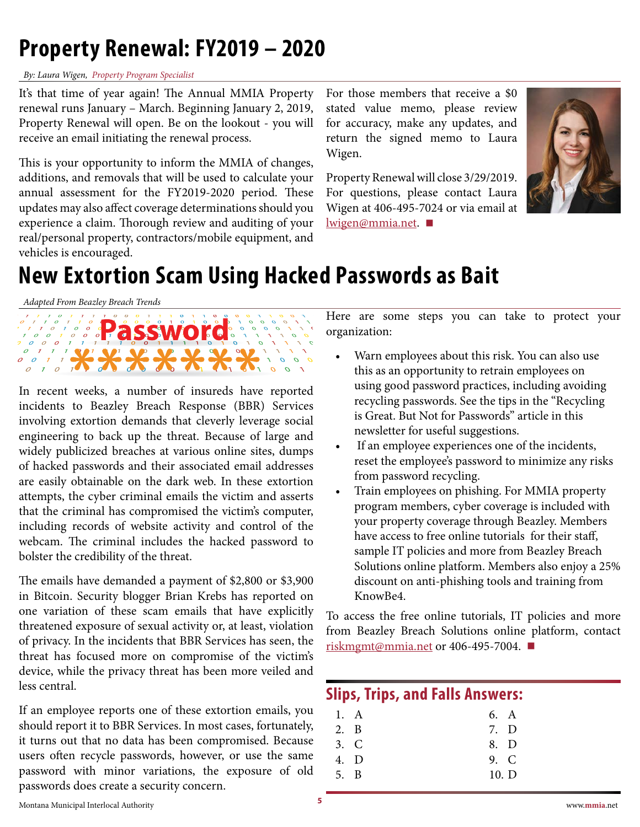# <span id="page-4-0"></span>**Property Renewal: FY2019 – 2020**

#### *By: Laura Wigen, Property Program Specialist*

It's that time of year again! The Annual MMIA Property renewal runs January – March. Beginning January 2, 2019, Property Renewal will open. Be on the lookout - you will receive an email initiating the renewal process.

This is your opportunity to inform the MMIA of changes, additions, and removals that will be used to calculate your annual assessment for the FY2019-2020 period. These updates may also affect coverage determinations should you experience a claim. Thorough review and auditing of your real/personal property, contractors/mobile equipment, and vehicles is encouraged.

For those members that receive a \$0 stated value memo, please review for accuracy, make any updates, and return the signed memo to Laura Wigen.

Property Renewal will close 3/29/2019. For questions, please contact Laura Wigen at 406-495-7024 or via email at [lwigen@mmia.net.](mailto:lwigen%40mmia.net?subject=) **■**



# **New Extortion Scam Using Hacked Passwords as Bait**

*Adapted From Beazley Breach Trends*



In recent weeks, a number of insureds have reported incidents to Beazley Breach Response (BBR) Services involving extortion demands that cleverly leverage social engineering to back up the threat. Because of large and widely publicized breaches at various online sites, dumps of hacked passwords and their associated email addresses are easily obtainable on the dark web. In these extortion attempts, the cyber criminal emails the victim and asserts that the criminal has compromised the victim's computer, including records of website activity and control of the webcam. The criminal includes the hacked password to bolster the credibility of the threat.

The emails have demanded a payment of \$2,800 or \$3,900 in Bitcoin. Security blogger Brian Krebs has reported on one variation of these scam emails that have explicitly threatened exposure of sexual activity or, at least, violation of privacy. In the incidents that BBR Services has seen, the threat has focused more on compromise of the victim's device, while the privacy threat has been more veiled and less central.

If an employee reports one of these extortion emails, you should report it to BBR Services. In most cases, fortunately, it turns out that no data has been compromised. Because users often recycle passwords, however, or use the same password with minor variations, the exposure of old passwords does create a security concern.

Here are some steps you can take to protect your organization:

- Warn employees about this risk. You can also use this as an opportunity to retrain employees on using good password practices, including avoiding recycling passwords. See the tips in the "Recycling is Great. But Not for Passwords" article in this newsletter for useful suggestions.
- If an employee experiences one of the incidents, reset the employee's password to minimize any risks from password recycling.
- Train employees on phishing. For MMIA property program members, cyber coverage is included with your property coverage through Beazley. Members have access to free online tutorials for their staff, sample IT policies and more from Beazley Breach Solutions online platform. Members also enjoy a 25% discount on anti-phishing tools and training from KnowBe4.

To access the free online tutorials, IT policies and more from Beazley Breach Solutions online platform, contact [riskmgmt@mmia.net](mailto:riskmgmt%40mmia.net?subject=) or 406-495-7004. **■**

#### **Slips, Trips, and Falls Answers:**

| 1. A | 6. A  |  |
|------|-------|--|
| 2. B | 7. D  |  |
| 3. C | 8. D  |  |
| 4. D | 9. C  |  |
| 5. B | 10. D |  |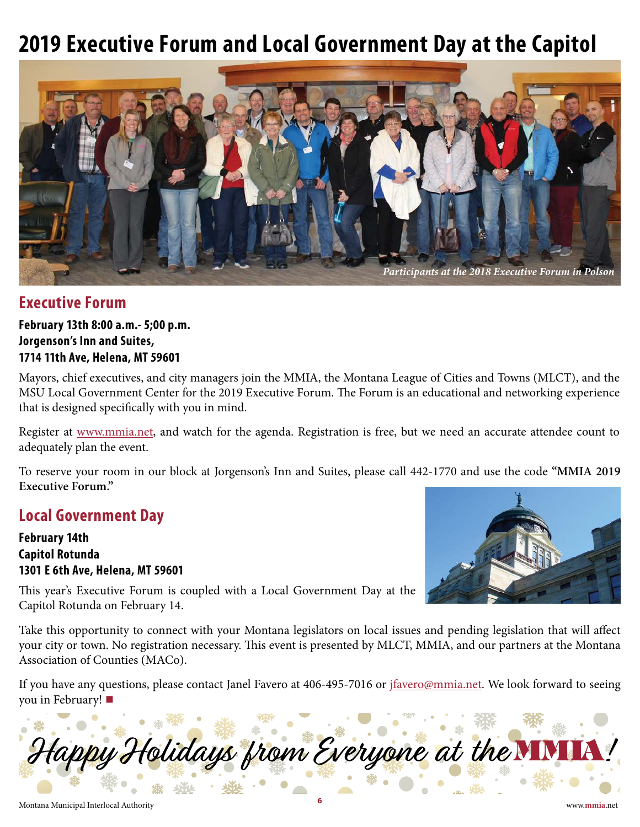## <span id="page-5-0"></span>**2019 Executive Forum and Local Government Day at the Capitol**



#### **Executive Forum**

**February 13th 8:00 a.m.- 5;00 p.m. Jorgenson's Inn and Suites, 1714 11th Ave, Helena, MT 59601**

Mayors, chief executives, and city managers join the MMIA, the Montana League of Cities and Towns (MLCT), and the MSU Local Government Center for the 2019 Executive Forum. The Forum is an educational and networking experience that is designed specifically with you in mind.

Register at [www.mmia.net,](http://www.mmia.net) and watch for the agenda. Registration is free, but we need an accurate attendee count to adequately plan the event.

To reserve your room in our block at Jorgenson's Inn and Suites, please call 442-1770 and use the code **"MMIA 2019 Executive Forum."**

#### **Local Government Day**

**February 14th Capitol Rotunda 1301 E 6th Ave, Helena, MT 59601**



This year's Executive Forum is coupled with a Local Government Day at the Capitol Rotunda on February 14.

Take this opportunity to connect with your Montana legislators on local issues and pending legislation that will affect your city or town. No registration necessary. This event is presented by MLCT, MMIA, and our partners at the Montana Association of Counties (MACo).

If you have any questions, please contact Janel Favero at 406-495-7016 or *jfavero@mmia.net*. We look forward to seeing you in February! **■**

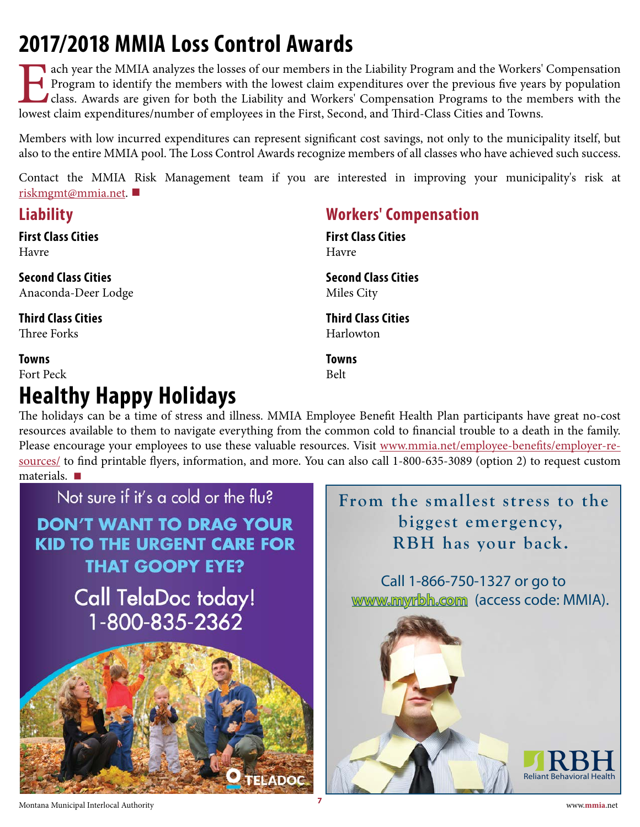# <span id="page-6-0"></span>**2017/2018 MMIA Loss Control Awards**

T ach year the MMIA analyzes the losses of our members in the Liability Program and the Workers' Compensation Program to identify the members with the lowest claim expenditures over the previous five years by population class. Awards are given for both the Liability and Workers' Compensation Programs to the members with the lowest claim expenditures/number of employees in the First, Second, and Third-Class Cities and Towns.

Members with low incurred expenditures can represent significant cost savings, not only to the municipality itself, but also to the entire MMIA pool. The Loss Control Awards recognize members of all classes who have achieved such success.

[Contact the MMIA](mailto:riskmgmt%40mmia.net?subject=) Risk Management team if you are interested in improving your municipality's risk at riskmgmt@mmia.net. **■**

### **Liability**

### **First Class Cities**

Havre

**Second Class Cities** Anaconda-Deer Lodge

**Third Class Cities** Three Forks

#### **Towns**

Fort Peck

### **Healthy Happy Holidays**

### **Workers' Compensation**

**First Class Cities** Havre

**Second Class Cities** Miles City

**Third Class Cities** Harlowton

**Towns** Belt

The holidays can be a time of stress and illness. MMIA Employee Benefit Health Plan participants have great no-cost resources available to them to navigate everything from the common cold to financial trouble to a death in the family. Please encourage your employees to use these valuable resources. Visit [www.mmia.net/employee-benefits/employer-re](http://www.mmia.net/employee-benefits/employer-resources/)[sources/](http://www.mmia.net/employee-benefits/employer-resources/) to find printable flyers, information, and more. You can also call 1-800-635-3089 (option 2) to request custom



### **From the smallest stress to the biggest emergency, RBH has your back.**

**www.myrbh.com [www.myrbh.com](http://www.myrbh.com)** (access code: MMIA). Call 1-866-750-1327 or go to